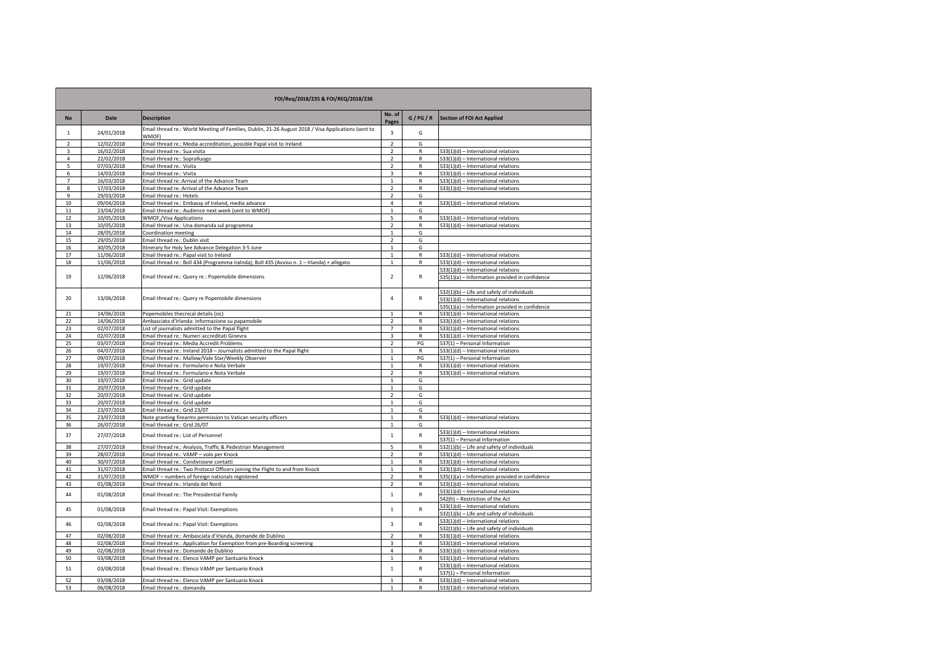| FOI/Req/2018/235 & FOI/REQ/2018/236 |                          |                                                                                                              |                                  |                   |                                                                                       |  |
|-------------------------------------|--------------------------|--------------------------------------------------------------------------------------------------------------|----------------------------------|-------------------|---------------------------------------------------------------------------------------|--|
| <b>No</b>                           | Date                     | <b>Description</b>                                                                                           | No. of<br>Pages                  | G/PG/R            | <b>Section of FOI Act Applied</b>                                                     |  |
| $\mathbf{1}$                        | 24/01/2018               | Email thread re.: World Meeting of Families, Dublin, 21-26 August 2018 / Visa Applications (sent to<br>WMOF) | $\overline{\mathbf{3}}$          | G                 |                                                                                       |  |
| $\overline{2}$                      | 12/02/2018               | Email thread re.: Media accreditation, possible Papal visit to Ireland                                       | $\overline{2}$                   | G                 |                                                                                       |  |
| 3                                   | 16/02/2018               | Email thread re.: Sua visita                                                                                 | $\overline{2}$                   | $\mathsf{R}$      | S33(1)(d) - International relations                                                   |  |
| $\overline{4}$                      | 22/02/2018               | Email thread re.: Sopralluogo                                                                                | $\overline{2}$                   | $\mathsf{R}$      | S33(1)(d) - International relations                                                   |  |
| 5                                   | 07/03/2018               | Email thread re.: Visita                                                                                     | $\overline{2}$                   | R                 | S33(1)(d) - International relations                                                   |  |
| 6                                   | 14/03/2018               | Email thread re.: Visita                                                                                     | $\overline{3}$                   | $\mathsf{R}$      | S33(1)(d) - International relations                                                   |  |
| $\overline{7}$                      | 16/03/2018               | Email thread re.: Arrival of the Advance Team                                                                | $\mathbf{1}$                     | ${\sf R}$         | S33(1)(d) - International relations                                                   |  |
| 8<br>9                              | 17/03/2018<br>29/03/2018 | Email thread re.: Arrival of the Advance Team                                                                | $\overline{2}$<br>$\overline{2}$ | $\mathsf{R}$<br>G | S33(1)(d) - International relations                                                   |  |
| 10                                  | 09/04/2018               | Email thread re.: Hotels<br>Email thread re.: Embassy of Ireland, media advance                              | $\overline{4}$                   | $\mathsf{R}$      | S33(1)(d) - International relations                                                   |  |
| 11                                  | 23/04/2018               | Email thread re.: Audience next week (sent to WMOF)                                                          | $\mathbf{1}$                     | G                 |                                                                                       |  |
| 12                                  | 10/05/2018               | WMOF,/Visa Applications                                                                                      | 5                                | $\mathsf{R}$      | S33(1)(d) - International relations                                                   |  |
| 13                                  | 10/05/2018               | Email thread re.: Una domanda sul programma                                                                  | $\overline{2}$                   | $\mathsf{R}$      | S33(1)(d) - International relations                                                   |  |
| 14                                  | 28/05/2018               | Coordination meeting                                                                                         | $\mathbf{1}$                     | G                 |                                                                                       |  |
| 15                                  | 29/05/2018               | Email thread re.: Dublin visit                                                                               | $\overline{2}$                   | G                 |                                                                                       |  |
| 16                                  | 30/05/2018               | Itinerary for Holy See Advance Delegation 3-5 June                                                           | $\mathbf{1}$                     | G                 |                                                                                       |  |
| 17                                  | 11/06/2018               | Email thread re.: Papal visit to Ireland                                                                     | $\mathbf{1}$                     | $\mathsf{R}$      | S33(1)(d) - International relations                                                   |  |
| 18                                  | 11/06/2018               | Email thread re.: Boll 434 (Programma Iralnda); Boll 435 (Avviso n. 1 - Irlanda) + allegato                  | $\,1\,$                          | ${\sf R}$         | S33(1)(d) - International relations                                                   |  |
|                                     |                          |                                                                                                              |                                  |                   | S33(1)(d) - International relations                                                   |  |
| 19                                  | 12/06/2018               | Email thread re.: Query re.: Popemobile dimensions                                                           | $\overline{2}$                   | R                 | S35(1)(a) - Information provided in confidence                                        |  |
|                                     |                          |                                                                                                              |                                  |                   |                                                                                       |  |
| 20                                  | 13/06/2018               |                                                                                                              | $\overline{4}$                   | R                 | S32(1)(b) - Life and safety of individuals                                            |  |
|                                     |                          | Email thread re.: Query re Popemobile dimensions                                                             |                                  |                   | S33(1)(d) - International relations                                                   |  |
| 21                                  | 14/06/2018               | Popemobiles thecnical details (sic)                                                                          | $\mathbf{1}$                     | $\mathsf{R}$      | S35(1)(a) - Information provided in confidence<br>S33(1)(d) - International relations |  |
| 22                                  | 14/06/2018               | Ambasciata d'Irlanda: informazione su papamobile                                                             | $\overline{2}$                   | $\mathsf{R}$      | S33(1)(d) - International relations                                                   |  |
| 23                                  | 02/07/2018               | List of journalists admitted to the Papal flight                                                             | $\overline{7}$                   | ${\sf R}$         | S33(1)(d) - International relations                                                   |  |
| 24                                  | 02/07/2018               | Email thread re.: Numeri accreditati Ginevra                                                                 | 3                                | R                 | S33(1)(d) - International relations                                                   |  |
| 25                                  | 03/07/2018               | Email thread re.: Media Accredit Problems                                                                    | $\overline{2}$                   | PG                | S37(1) - Personal Information                                                         |  |
| 26                                  | 04/07/2018               | Email thread re.: Ireland 2018 - Journalists admitted to the Papal flight                                    | $1\,$                            | R                 | S33(1)(d) - International relations                                                   |  |
| 27                                  | 09/07/2018               | Email thread re.: Mallow/Vale Star/Weekly Observer                                                           | $\mathbf 1$                      | PG                | S37(1) - Personal Information                                                         |  |
| 28                                  | 19/07/2018               | Email thread re.: Formulario e Nota Verbale                                                                  | $\,1\,$                          | $\mathsf{R}$      | S33(1)(d) - International relations                                                   |  |
| 29                                  | 19/07/2018               | Email thread re.: Formulario e Nota Verbale                                                                  | $\overline{2}$                   | $\mathsf{R}$      | S33(1)(d) - International relations                                                   |  |
| 30                                  | 19/07/2018               | Email thread re.: Grid update                                                                                | $\mathbf{1}$                     | G                 |                                                                                       |  |
| 31                                  | 20/07/2018               | Email thread re.: Grid update                                                                                | $\mathbf{1}$<br>$\overline{2}$   | G                 |                                                                                       |  |
| 32<br>33                            | 20/07/2018<br>20/07/2018 | Email thread re.: Grid update<br>Email thread re.: Grid update                                               | $\overline{1}$                   | G<br>G            |                                                                                       |  |
| 34                                  | 23/07/2018               | Email thread re.: Grid 23/07                                                                                 | $\mathbf{1}$                     | G                 |                                                                                       |  |
| 35                                  | 23/07/2018               | Note granting firearms permission to Vatican security officers                                               | $\mathbf{1}$                     | R                 | S33(1)(d) - International relations                                                   |  |
| 36                                  | 26/07/2018               | Email thread re.: Grid 26/07                                                                                 | $\mathbf{1}$                     | G                 |                                                                                       |  |
|                                     |                          |                                                                                                              |                                  |                   | S33(1)(d) - International relations                                                   |  |
| 37                                  | 27/07/2018               | Email thread re.: List of Personnel                                                                          | $\mathbf{1}$                     | ${\sf R}$         | S37(1) - Personal Information                                                         |  |
| 38                                  | 27/07/2018               | Email thread re.: Analysis, Traffic & Pedestrian Management                                                  | 5                                | $\mathsf{R}$      | S32(1)(b) - Life and safety of individuals                                            |  |
| 39                                  | 28/07/2018               | Email thread re.: VAMP - volo per Knock                                                                      | $\overline{2}$                   | $\mathsf{R}$      | S33(1)(d) - International relations                                                   |  |
| 40                                  | 30/07/2018               | Email thread re.: Condivisione contatti                                                                      | $\mathbf{1}$                     | $\mathsf{R}$      | S33(1)(d) - International relations                                                   |  |
| 41                                  | 31/07/2018               | Email thread re.: Two Protocol Officers joining the Flight to and from Knock                                 | $\mathbf{1}$                     | $\mathsf{R}$      | S33(1)(d) - International relations                                                   |  |
| 42                                  | 31/07/2018               | WMOF - numbers of foreign nationals registered                                                               | $\overline{2}$                   | R                 | S35(1)(a) - Information provided in confidence                                        |  |
| 43                                  | 01/08/2018               | Email thread re.: Irlanda del Nord                                                                           | $\overline{2}$                   | $\mathsf{R}$      | S33(1)(d) - International relations                                                   |  |
| 44                                  | 01/08/2018               | Email thread re.: The Presidential Family                                                                    | $\mathbf{1}$                     | $\mathsf{R}$      | S33(1)(d) - International relations<br>S42(h) - Restriction of the Act                |  |
| 45                                  | 01/08/2018               | Email thread re.: Papal Visit: Exemptions                                                                    | $\mathbf{1}$                     | $\mathsf{R}$      | S33(1)(d) - International relations                                                   |  |
|                                     |                          |                                                                                                              |                                  |                   | S32(1)(b) - Life and safety of individuals                                            |  |
| 46                                  | 02/08/2018               | Email thread re.: Papal Visit: Exemptions                                                                    | $\overline{\mathbf{3}}$          | $\mathsf{R}$      | S33(1)(d) - International relations<br>S32(1)(b) - Life and safety of individuals     |  |
| 47                                  | 02/08/2018               | Email thread re.: Ambasciata d'Irlanda, domande de Dublino                                                   | $\overline{2}$                   | $\mathsf{R}$      | S33(1)(d) - International relations                                                   |  |
| 48                                  | 02/08/2018               | Email thread re.: Application for Exemption from pre-Boarding screening                                      | 3                                | $\mathsf{R}$      | S33(1)(d) - International relations                                                   |  |
| 49                                  | 02/08/2018               | Email thread re.: Domande de Dublino                                                                         | $\overline{4}$                   | $\mathsf{R}$      | S33(1)(d) - International relations                                                   |  |
| 50                                  | 03/08/2018               | Email thread re.: Elenco VAMP per Santuario Knock                                                            | $\mathbf{1}$                     | ${\sf R}$         | S33(1)(d) - International relations                                                   |  |
| 51                                  | 03/08/2018               | Email thread re.: Elenco VAMP per Santuario Knock                                                            | $\mathbf{1}$                     | $\mathsf{R}$      | S33(1)(d) - International relations<br>S37(1) - Personal Information                  |  |
| 52                                  | 03/08/2018               | Email thread re.: Elenco VAMP per Santuario Knock                                                            | 1                                | $\mathsf{R}$      | S33(1)(d) - International relations                                                   |  |
| 53                                  | 06/08/2018               | Email thread re.: domanda                                                                                    | $\mathbf{1}$                     | ${\sf R}$         | S33(1)(d) - International relations                                                   |  |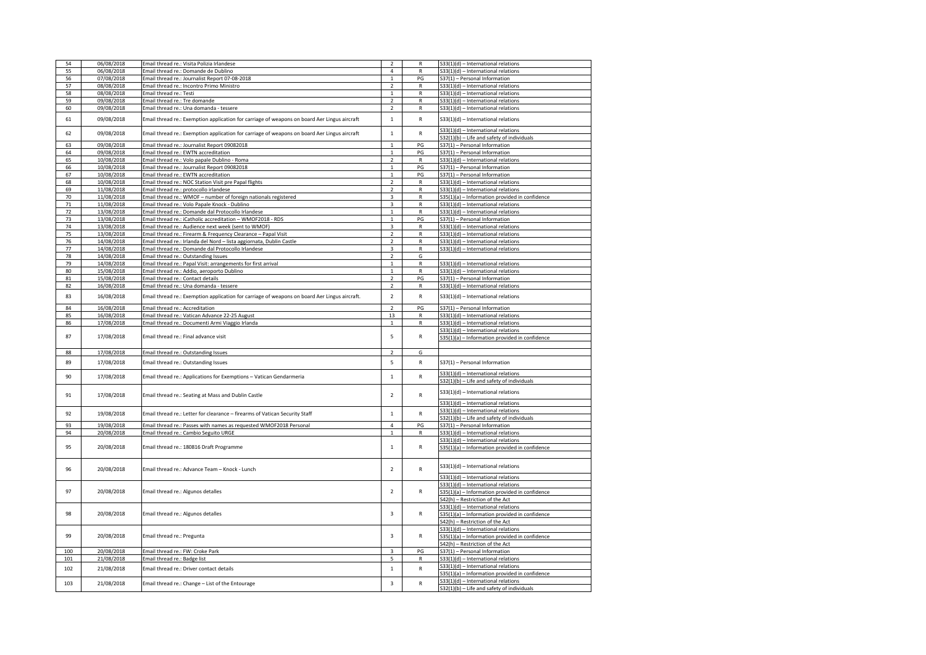|        | 06/08/2018 | Email thread re.: Visita Polizia Irlandese                                                    | $\overline{2}$          | $\mathsf{R}$ | S33(1)(d) - International relations                                               |
|--------|------------|-----------------------------------------------------------------------------------------------|-------------------------|--------------|-----------------------------------------------------------------------------------|
| 54     | 06/08/2018 | Email thread re.: Domande de Dublino                                                          | $\overline{4}$          |              | 533(1)(d) - International relations                                               |
| 55     |            |                                                                                               |                         | R            |                                                                                   |
| 56     | 07/08/2018 | Email thread re.: Journalist Report 07-08-2018                                                | $\mathbf{1}$            | PG           | 537(1) - Personal Information                                                     |
| 57     | 08/08/2018 | Email thread re.: Incontro Primo Ministro                                                     | $\overline{\mathbf{2}}$ | $\mathsf{R}$ | S33(1)(d) - International relations                                               |
| 58     | 08/08/2018 | Email thread re.: Testi                                                                       | $\mathbf 1$             | R            | S33(1)(d) - International relations                                               |
| 59     | 09/08/2018 | Email thread re.: Tre domande                                                                 | $\overline{2}$          | R            | S33(1)(d) - International relations                                               |
| 60     | 09/08/2018 | Email thread re.: Una domanda - tessere                                                       | $\overline{2}$          | R            | S33(1)(d) - International relations                                               |
|        |            |                                                                                               |                         |              |                                                                                   |
| 61     | 09/08/2018 | Email thread re.: Exemption application for carriage of weapons on board Aer Lingus aircraft  | $\mathbf 1$             | R            | S33(1)(d) - International relations                                               |
|        |            |                                                                                               |                         |              | S33(1)(d) - International relations                                               |
| 62     | 09/08/2018 | Email thread re.: Exemption application for carriage of weapons on board Aer Lingus aircraft  | $\mathbf 1$             | R            | S32(1)(b) - Life and safety of individuals                                        |
|        | 09/08/2018 |                                                                                               |                         | PG           |                                                                                   |
| 63     |            | Email thread re.: Journalist Report 09082018                                                  | $\mathbf 1$             |              | S37(1) - Personal Information                                                     |
| 64     | 09/08/2018 | Email thread re.: EWTN accreditation                                                          | $\overline{1}$          | PG           | S37(1) - Personal Information                                                     |
| 65     | 10/08/2018 | Email thread re.: Volo papale Dublino - Roma                                                  | $\overline{2}$          | R            | S33(1)(d) - International relations                                               |
| 66     | 10/08/2018 | Email thread re.: Journalist Report 09082018                                                  | $\mathbf{1}$            | PG           | S37(1) - Personal Information                                                     |
| 67     | 10/08/2018 | Email thread re.: EWTN accreditation                                                          | $\mathbf 1$             | PG           | S37(1) - Personal Information                                                     |
| 68     | 10/08/2018 | Email thread re.: NOC Station Visit pre Papal flights                                         | $\overline{2}$          | R            | 533(1)(d) - International relations                                               |
| 69     | 11/08/2018 | Email thread re.: protocollo irlandese                                                        | $\overline{2}$          | R            | S33(1)(d) - International relations                                               |
| 70     | 11/08/2018 | Email thread re.: WMOF - number of foreign nationals registered                               | $\overline{\mathbf{3}}$ | R            | S35(1)(a) - Information provided in confidence                                    |
| $71\,$ | 11/08/2018 | Email thread re.: Volo Papale Knock - Dublino                                                 | 3                       | R            | S33(1)(d) - International relations                                               |
| 72     | 13/08/2018 | Email thread re.: Domande dal Protocollo Irlandese                                            | $\mathbf{1}$            | R            | S33(1)(d) - International relations                                               |
| 73     | 13/08/2018 | Email thread re.: iCatholic accreditation - WMOF2018 - RDS                                    | $\mathbf{1}$            | PG           | S37(1) - Personal Information                                                     |
| 74     | 13/08/2018 | Email thread re.: Audience next week (sent to WMOF)                                           | 3                       | $\mathsf{R}$ | S33(1)(d) - International relations                                               |
| 75     | 13/08/2018 | Email thread re.: Firearm & Frequency Clearance - Papal Visit                                 | $\overline{2}$          | R            | S33(1)(d) - International relations                                               |
| 76     | 14/08/2018 | Email thread re.: Irlanda del Nord - lista aggiornata, Dublin Castle                          | $\overline{2}$          | R            | S33(1)(d) - International relations                                               |
| 77     | 14/08/2018 | Email thread re.: Domande dal Protocollo Irlandese                                            | $\overline{\mathbf{3}}$ | $\mathsf{R}$ | S33(1)(d) - International relations                                               |
| 78     | 14/08/2018 | Email thread re.: Outstanding Issues                                                          | $\overline{2}$          | G            |                                                                                   |
| 79     | 14/08/2018 | Email thread re.: Papal Visit: arrangements for first arrival                                 | $\mathbf{1}$            | ${\sf R}$    |                                                                                   |
|        | 15/08/2018 |                                                                                               | $\mathbf{1}$            | R            | S33(1)(d) - International relations                                               |
| 80     |            | Email thread re.: Addio, aeroporto Dublino                                                    |                         |              | S33(1)(d) - International relations                                               |
| 81     | 15/08/2018 | Email thread re.: Contact details                                                             | $\overline{2}$          | PG           | S37(1) - Personal Information                                                     |
| 82     | 16/08/2018 | Email thread re.: Una domanda - tessere                                                       | $\overline{2}$          | R            | S33(1)(d) - International relations                                               |
| 83     | 16/08/2018 | Email thread re.: Exemption application for carriage of weapons on board Aer Lingus aircraft. | $\overline{2}$          | R            | S33(1)(d) - International relations                                               |
|        |            |                                                                                               |                         |              |                                                                                   |
| 84     | 16/08/2018 | Email thread re.: Accreditation                                                               | $\overline{2}$          | PG           | S37(1) - Personal Information                                                     |
| 85     | 16/08/2018 | Email thread re.: Vatican Advance 22-25 August                                                | 13                      | R            | S33(1)(d) - International relations                                               |
| 86     | 17/08/2018 | Email thread re.: Documenti Armi Viaggio Irlanda                                              | $\mathbf{1}$            | R            | S33(1)(d) - International relations                                               |
|        |            |                                                                                               |                         |              | S33(1)(d) - International relations                                               |
| 87     | 17/08/2018 |                                                                                               |                         | R            | S35(1)(a) - Information provided in confidence                                    |
|        |            | Email thread re.: Final advance visit                                                         | 5                       |              |                                                                                   |
|        |            |                                                                                               |                         |              |                                                                                   |
| 88     |            |                                                                                               | $\overline{2}$          | G            |                                                                                   |
|        | 17/08/2018 | Email thread re.: Outstanding Issues                                                          |                         |              |                                                                                   |
| 89     | 17/08/2018 | Email thread re.: Outstanding Issues                                                          | $\overline{5}$          | R            | S37(1) - Personal Information                                                     |
|        |            |                                                                                               |                         |              |                                                                                   |
| 90     | 17/08/2018 | Email thread re.: Applications for Exemptions - Vatican Gendarmeria                           | $\mathbf 1$             | R            | S33(1)(d) - International relations                                               |
|        |            |                                                                                               |                         |              | S32(1)(b) - Life and safety of individuals                                        |
|        |            |                                                                                               |                         |              | S33(1)(d) - International relations                                               |
| 91     | 17/08/2018 | Email thread re.: Seating at Mass and Dublin Castle                                           | $\overline{2}$          | R            |                                                                                   |
|        |            |                                                                                               |                         |              | S33(1)(d) - International relations                                               |
| 92     | 19/08/2018 | Email thread re.: Letter for clearance - firearms of Vatican Security Staff                   | $\mathbf{1}$            | $\mathsf{R}$ | S33(1)(d) - International relations                                               |
|        |            |                                                                                               |                         |              | S32(1)(b) - Life and safety of individuals                                        |
| 93     | 19/08/2018 | Email thread re.: Passes with names as requested WMOF2018 Personal                            | $\overline{4}$          | PG           | S37(1) - Personal Information                                                     |
| 94     | 20/08/2018 | Email thread re.: Cambio Seguito URGE                                                         | $\mathbf{1}$            | R            | S33(1)(d) - International relations                                               |
|        |            |                                                                                               |                         |              | S33(1)(d) - International relations                                               |
| 95     | 20/08/2018 | Email thread re.: 180816 Draft Programme                                                      | $\mathbf{1}$            | $\mathsf{R}$ | S35(1)(a) - Information provided in confidence                                    |
|        |            |                                                                                               |                         |              |                                                                                   |
|        |            |                                                                                               |                         |              |                                                                                   |
| 96     | 20/08/2018 | Email thread re.: Advance Team - Knock - Lunch                                                | $\overline{2}$          | R            | S33(1)(d) - International relations                                               |
|        |            |                                                                                               |                         |              | S33(1)(d) - International relations                                               |
|        |            |                                                                                               |                         |              |                                                                                   |
| 97     | 20/08/2018 | Email thread re.: Algunos detalles                                                            | $\overline{2}$          | R            | S33(1)(d) - International relations                                               |
|        |            |                                                                                               |                         |              | S35(1)(a) - Information provided in confidence                                    |
|        |            |                                                                                               |                         |              | 542(h) - Restriction of the Act                                                   |
|        |            |                                                                                               |                         |              | S33(1)(d) - International relations                                               |
| 98     | 20/08/2018 | Email thread re.: Algunos detalles                                                            | 3                       | R            | S35(1)(a) - Information provided in confidence                                    |
|        |            |                                                                                               |                         |              | S42(h) - Restriction of the Act                                                   |
|        |            |                                                                                               |                         |              | S33(1)(d) - International relations                                               |
| 99     | 20/08/2018 | Email thread re.: Pregunta                                                                    | 3                       | R            | S35(1)(a) - Information provided in confidence                                    |
|        |            |                                                                                               |                         |              | 642(h) - Restriction of the Act                                                   |
| 100    | 20/08/2018 | Email thread re.: FW: Croke Park                                                              | 3                       | PG           | S37(1) - Personal Information                                                     |
| 101    | 21/08/2018 | Email thread re.: Badge list                                                                  | 5                       | R            | S33(1)(d) - International relations                                               |
|        |            |                                                                                               |                         |              | S33(1)(d) - International relations                                               |
| 102    | 21/08/2018 | Email thread re.: Driver contact details                                                      | $\mathbf{1}$            | $\mathsf{R}$ | S35(1)(a) - Information provided in confidence                                    |
| 103    | 21/08/2018 | Email thread re.: Change - List of the Entourage                                              | $\overline{\mathbf{3}}$ | R            | S33(1)(d) - International relations<br>S32(1)(b) - Life and safety of individuals |